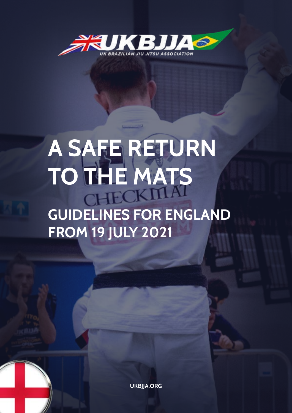

# **A SAFE RETURN TO THE MATS GUIDELINES FOR ENGLAND FROM 19 JULY 2021**

**[UKBJJA.ORG](https://ukbjja.org)**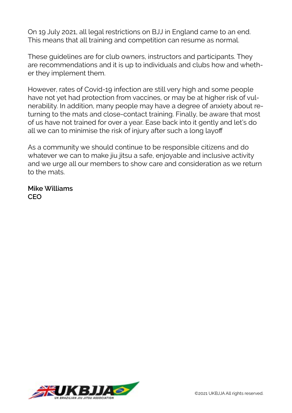On 19 July 2021, all legal restrictions on BJJ in England came to an end. This means that all training and competition can resume as normal.

These guidelines are for club owners, instructors and participants. They are recommendations and it is up to individuals and clubs how and whether they implement them.

However, rates of Covid-19 infection are still very high and some people have not yet had protection from vaccines, or may be at higher risk of vulnerability. In addition, many people may have a degree of anxiety about returning to the mats and close-contact training. Finally, be aware that most of us have not trained for over a year. Ease back into it gently and let's do all we can to minimise the risk of injury after such a long layoff

As a community we should continue to be responsible citizens and do whatever we can to make jiu jitsu a safe, enjoyable and inclusive activity and we urge all our members to show care and consideration as we return to the mats.

**Mike Williams CEO**

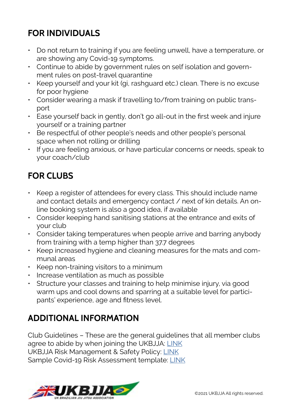### **FOR INDIVIDUALS**

- Do not return to training if you are feeling unwell, have a temperature, or are showing any Covid-19 symptoms.
- Continue to abide by government rules on self isolation and government rules on post-travel quarantine
- Keep yourself and your kit (gi, rashguard etc.) clean. There is no excuse for poor hygiene
- Consider wearing a mask if travelling to/from training on public transport
- Ease yourself back in gently, don't go all-out in the first week and injure yourself or a training partner
- Be respectful of other people's needs and other people's personal space when not rolling or drilling
- If you are feeling anxious, or have particular concerns or needs, speak to your coach/club

#### **FOR CLUBS**

- Keep a register of attendees for every class. This should include name and contact details and emergency contact / next of kin details. An online booking system is also a good idea, if available
- Consider keeping hand sanitising stations at the entrance and exits of your club
- Consider taking temperatures when people arrive and barring anybody from training with a temp higher than 37.7 degrees
- Keep increased hygiene and cleaning measures for the mats and communal areas
- Keep non-training visitors to a minimum
- Increase ventilation as much as possible
- Structure your classes and training to help minimise injury, via good warm ups and cool downs and sparring at a suitable level for participants' experience, age and fitness level.

#### **ADDITIONAL INFORMATION**

Club Guidelines – These are the general guidelines that all member clubs agree to abide by when joining the UKBJJA: [LINK](https://www.ukbjja.org/membership/club-membership/#clubguidelines) UKBJJA Risk Management & Safety Policy: [LINK](https://www.ukbjja.org/wp-content/uploads/2020/07/UKBJJA-Risk-Management-Safety-Policy.pdf) Sample Covid-19 Risk Assessment template: [LINK](https://www.ukbjja.org/wp-content/uploads/2021/07/UKBJJA-Covid-19-Risk-Assessment-Template.pdf)